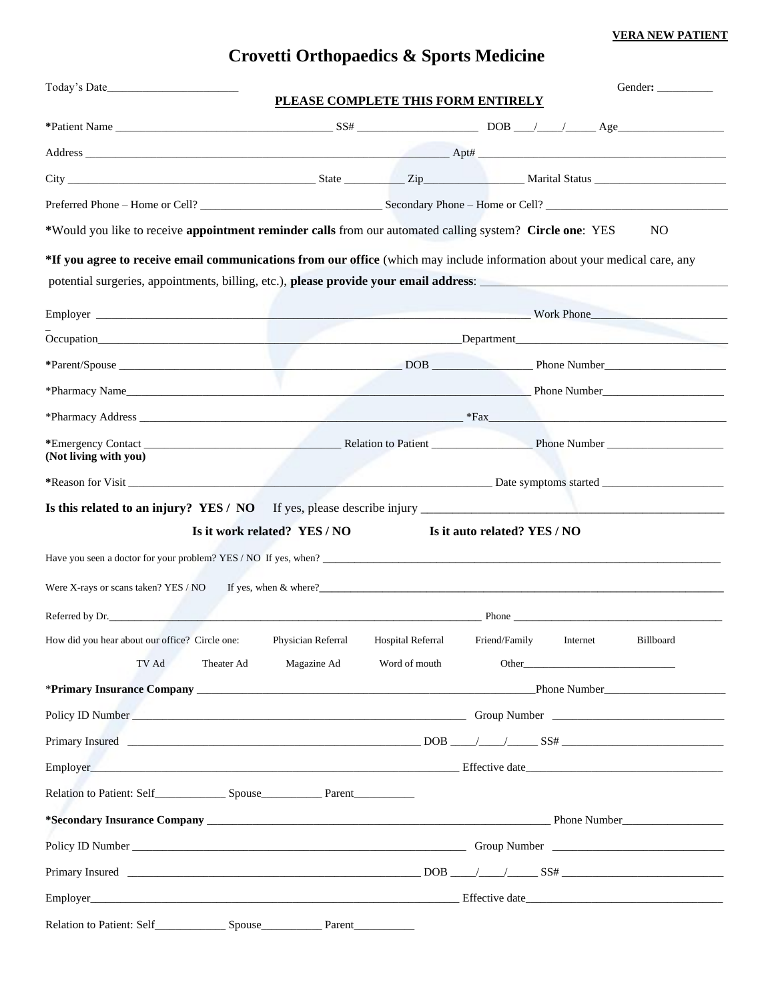## **Crovetti Orthopaedics & Sports Medicine**

| Today's Date                                                                                                                                                                                                                                                                                                                                                                                                                    |                                    |                              |               |          | Gender:          |
|---------------------------------------------------------------------------------------------------------------------------------------------------------------------------------------------------------------------------------------------------------------------------------------------------------------------------------------------------------------------------------------------------------------------------------|------------------------------------|------------------------------|---------------|----------|------------------|
|                                                                                                                                                                                                                                                                                                                                                                                                                                 | PLEASE COMPLETE THIS FORM ENTIRELY |                              |               |          |                  |
|                                                                                                                                                                                                                                                                                                                                                                                                                                 |                                    |                              |               |          |                  |
| $\blacksquare$ Address $\blacksquare$ Apple $\blacksquare$ Apple $\blacksquare$ Apple $\blacksquare$ Apple $\blacksquare$ Apple $\blacksquare$ Apple $\blacksquare$ Apple $\blacksquare$ $\blacksquare$ $\blacksquare$ $\blacksquare$ $\blacksquare$ $\blacksquare$ $\blacksquare$ $\blacksquare$ $\blacksquare$ $\blacksquare$ $\blacksquare$ $\blacksquare$ $\blacksquare$ $\blacksquare$ $\blacksquare$ $\blacksquare$ $\bl$ |                                    |                              |               |          |                  |
|                                                                                                                                                                                                                                                                                                                                                                                                                                 |                                    |                              |               |          |                  |
| Preferred Phone – Home or Cell? Secondary Phone – Home or Cell?                                                                                                                                                                                                                                                                                                                                                                 |                                    |                              |               |          |                  |
| *Would you like to receive appointment reminder calls from our automated calling system? Circle one: YES                                                                                                                                                                                                                                                                                                                        |                                    |                              |               |          | N <sub>O</sub>   |
| *If you agree to receive email communications from our office (which may include information about your medical care, any                                                                                                                                                                                                                                                                                                       |                                    |                              |               |          |                  |
| Employer North Phone North Communication and Communication and Communication and Communication and Communication and Communication and Communication and Communication and Communication and Communication and Communication a                                                                                                                                                                                                  |                                    |                              |               |          |                  |
| Occupation Department                                                                                                                                                                                                                                                                                                                                                                                                           |                                    |                              |               |          |                  |
|                                                                                                                                                                                                                                                                                                                                                                                                                                 |                                    |                              |               |          |                  |
| *Pharmacy Name Phone Number 2014                                                                                                                                                                                                                                                                                                                                                                                                |                                    |                              |               |          |                  |
|                                                                                                                                                                                                                                                                                                                                                                                                                                 |                                    |                              |               |          |                  |
| (Not living with you)                                                                                                                                                                                                                                                                                                                                                                                                           |                                    |                              |               |          |                  |
|                                                                                                                                                                                                                                                                                                                                                                                                                                 |                                    |                              |               |          |                  |
|                                                                                                                                                                                                                                                                                                                                                                                                                                 |                                    |                              |               |          |                  |
|                                                                                                                                                                                                                                                                                                                                                                                                                                 | Is it work related? YES / NO       | Is it auto related? YES / NO |               |          |                  |
|                                                                                                                                                                                                                                                                                                                                                                                                                                 |                                    |                              |               |          |                  |
| Were X-rays or scans taken? YES / NO If yes, when & where?                                                                                                                                                                                                                                                                                                                                                                      |                                    |                              |               |          |                  |
| Referred by Dr. Phone Phone Phone Phone Phone Phone Phone Phone Phone Phone Phone Phone Phone Phone Phone Phone Phone Phone Phone Phone Phone Phone Phone Phone Phone Phone Phone Phone Phone Phone Phone Phone Phone Phone Ph                                                                                                                                                                                                  |                                    |                              |               |          |                  |
| How did you hear about our office? Circle one:                                                                                                                                                                                                                                                                                                                                                                                  | Physician Referral                 | Hospital Referral            | Friend/Family | Internet | <b>Billboard</b> |
| TV Ad<br>Theater Ad                                                                                                                                                                                                                                                                                                                                                                                                             | Magazine Ad                        | Word of mouth                |               |          | Other            |
|                                                                                                                                                                                                                                                                                                                                                                                                                                 |                                    |                              |               |          | Phone Number     |
|                                                                                                                                                                                                                                                                                                                                                                                                                                 |                                    |                              |               |          |                  |
|                                                                                                                                                                                                                                                                                                                                                                                                                                 |                                    |                              |               |          |                  |
|                                                                                                                                                                                                                                                                                                                                                                                                                                 |                                    |                              |               |          |                  |
|                                                                                                                                                                                                                                                                                                                                                                                                                                 |                                    |                              |               |          |                  |
|                                                                                                                                                                                                                                                                                                                                                                                                                                 |                                    |                              |               |          |                  |
|                                                                                                                                                                                                                                                                                                                                                                                                                                 |                                    |                              |               |          |                  |
|                                                                                                                                                                                                                                                                                                                                                                                                                                 |                                    |                              |               |          |                  |
|                                                                                                                                                                                                                                                                                                                                                                                                                                 |                                    |                              |               |          |                  |
|                                                                                                                                                                                                                                                                                                                                                                                                                                 |                                    |                              |               |          |                  |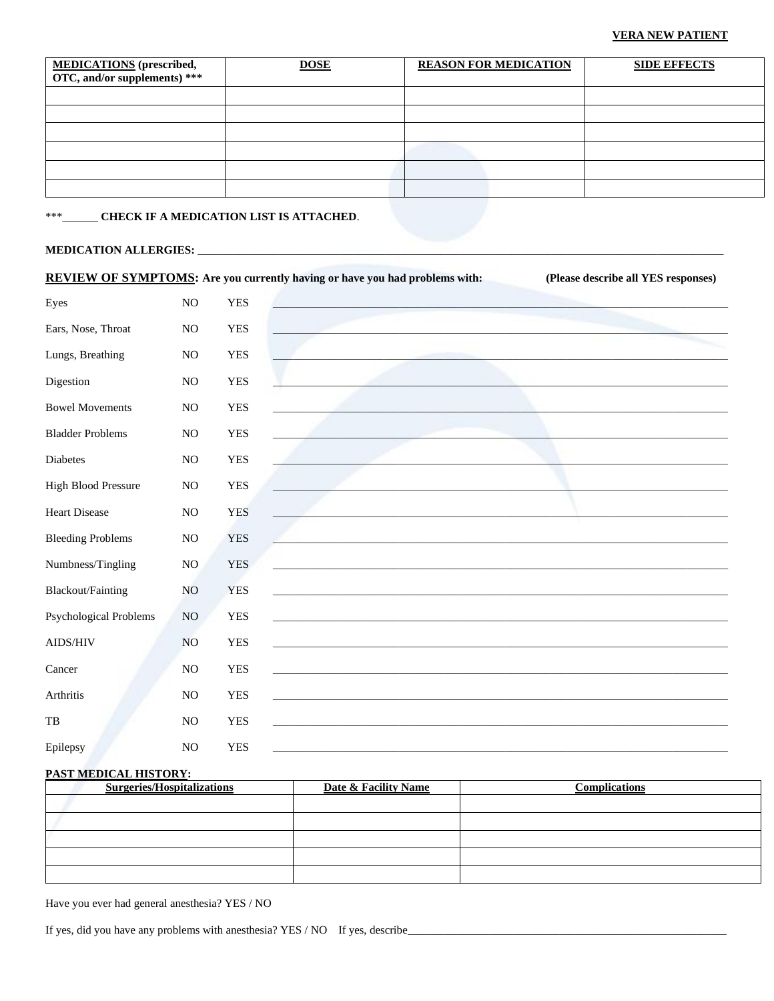| <b>MEDICATIONS</b> (prescribed,<br>OTC, and/or supplements) *** | <b>DOSE</b> | <b>REASON FOR MEDICATION</b> | <b>SIDE EFFECTS</b> |
|-----------------------------------------------------------------|-------------|------------------------------|---------------------|
|                                                                 |             |                              |                     |
|                                                                 |             |                              |                     |
|                                                                 |             |                              |                     |
|                                                                 |             |                              |                     |
|                                                                 |             |                              |                     |
|                                                                 |             |                              |                     |

#### **CHECK IF A MEDICATION LIST IS ATTACHED.**  $***$

#### **MEDICATION ALLERGIES: \_\_**

|                               |                |            | <b>REVIEW OF SYMPTOMS:</b> Are you currently having or have you had problems with: | (Please describe all YES responses) |
|-------------------------------|----------------|------------|------------------------------------------------------------------------------------|-------------------------------------|
| Eyes                          | N <sub>O</sub> | <b>YES</b> |                                                                                    |                                     |
| Ears, Nose, Throat            | NO             | <b>YES</b> |                                                                                    |                                     |
| Lungs, Breathing              | $\rm NO$       | <b>YES</b> |                                                                                    |                                     |
| Digestion                     | $\rm NO$       | <b>YES</b> |                                                                                    |                                     |
| <b>Bowel Movements</b>        | NO             | <b>YES</b> |                                                                                    |                                     |
| <b>Bladder Problems</b>       | NO             | <b>YES</b> |                                                                                    |                                     |
| Diabetes                      | N <sub>O</sub> | <b>YES</b> |                                                                                    |                                     |
| <b>High Blood Pressure</b>    | $\rm NO$       | <b>YES</b> |                                                                                    |                                     |
| <b>Heart Disease</b>          | NO             | <b>YES</b> |                                                                                    |                                     |
| <b>Bleeding Problems</b>      | $\rm NO$       | <b>YES</b> |                                                                                    |                                     |
| Numbness/Tingling             | $\rm NO$       | <b>YES</b> |                                                                                    |                                     |
| Blackout/Fainting             | NO             | <b>YES</b> |                                                                                    |                                     |
| <b>Psychological Problems</b> | NO             | <b>YES</b> |                                                                                    |                                     |
| AIDS/HIV                      | NO             | <b>YES</b> |                                                                                    |                                     |
| Cancer                        | $\rm NO$       | <b>YES</b> |                                                                                    |                                     |
| Arthritis                     | NO             | <b>YES</b> |                                                                                    |                                     |
| $_{\rm{TB}}$                  | NO             | <b>YES</b> |                                                                                    |                                     |
| Epilepsy                      | NO             | <b>YES</b> |                                                                                    |                                     |
|                               |                |            |                                                                                    |                                     |

#### PAST MEDICAL HISTORY:

| <b>Surgeries/Hospitalizations</b> | <b>Date &amp; Facility Name</b> | <b>Complications</b> |
|-----------------------------------|---------------------------------|----------------------|
|                                   |                                 |                      |
|                                   |                                 |                      |
|                                   |                                 |                      |
|                                   |                                 |                      |
|                                   |                                 |                      |

Have you ever had general anesthesia? YES / NO

If yes, did you have any problems with an<br>esthesia? YES / NO If yes, describe\_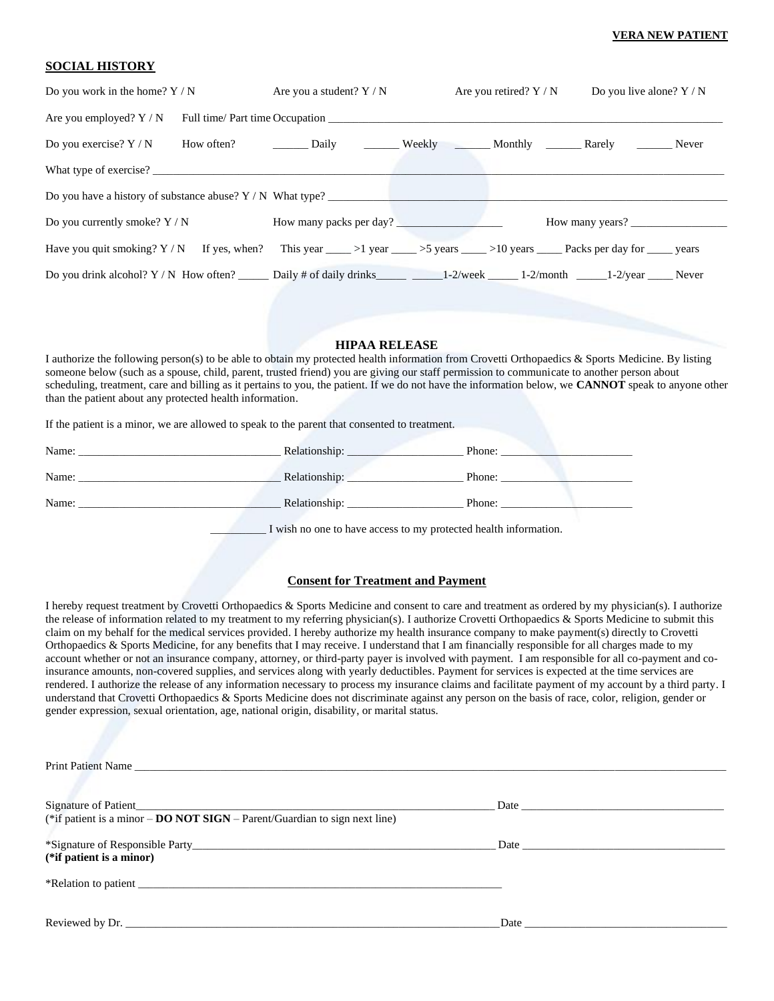#### **SOCIAL HISTORY**

| Are you a student? $Y / N$                                   |                        |                                                                                                                |                                                                                                                                                                                                                                  |
|--------------------------------------------------------------|------------------------|----------------------------------------------------------------------------------------------------------------|----------------------------------------------------------------------------------------------------------------------------------------------------------------------------------------------------------------------------------|
|                                                              |                        |                                                                                                                |                                                                                                                                                                                                                                  |
|                                                              |                        |                                                                                                                |                                                                                                                                                                                                                                  |
|                                                              |                        |                                                                                                                |                                                                                                                                                                                                                                  |
| Do you have a history of substance abuse? $Y / N$ What type? |                        |                                                                                                                |                                                                                                                                                                                                                                  |
|                                                              |                        |                                                                                                                |                                                                                                                                                                                                                                  |
|                                                              |                        |                                                                                                                |                                                                                                                                                                                                                                  |
|                                                              |                        |                                                                                                                |                                                                                                                                                                                                                                  |
|                                                              | What type of exercise? | Are you retired? $Y / N$<br>Are you employed? $Y/N$ Full time/ Part time Occupation<br>How many packs per day? | Do you live alone? $Y / N$<br>How often? Daily Weekly Monthly Rarely Never<br>How many years?<br>Have you quit smoking? $Y/N$ If yes, when? This year ____>1 year ____>5 years ____>10 years _____ Packs per day for _____ years |

#### **HIPAA RELEASE**

I authorize the following person(s) to be able to obtain my protected health information from Crovetti Orthopaedics & Sports Medicine. By listing someone below (such as a spouse, child, parent, trusted friend) you are giving our staff permission to communicate to another person about scheduling, treatment, care and billing as it pertains to you, the patient. If we do not have the information below, we **CANNOT** speak to anyone other than the patient about any protected health information.

If the patient is a minor, we are allowed to speak to the parent that consented to treatment.

| Name: | Relationship: | Phone: |
|-------|---------------|--------|
| Name: | Relationship: | Phone: |
| Name: | Relationship: | Phone: |

I wish no one to have access to my protected health information.

#### **Consent for Treatment and Payment**

I hereby request treatment by Crovetti Orthopaedics & Sports Medicine and consent to care and treatment as ordered by my physician(s). I authorize the release of information related to my treatment to my referring physician(s). I authorize Crovetti Orthopaedics & Sports Medicine to submit this claim on my behalf for the medical services provided. I hereby authorize my health insurance company to make payment(s) directly to Crovetti Orthopaedics & Sports Medicine, for any benefits that I may receive. I understand that I am financially responsible for all charges made to my account whether or not an insurance company, attorney, or third-party payer is involved with payment. I am responsible for all co-payment and coinsurance amounts, non-covered supplies, and services along with yearly deductibles. Payment for services is expected at the time services are rendered. I authorize the release of any information necessary to process my insurance claims and facilitate payment of my account by a third party. I understand that Crovetti Orthopaedics & Sports Medicine does not discriminate against any person on the basis of race, color, religion, gender or gender expression, sexual orientation, age, national origin, disability, or marital status.

| (*if patient is a minor $-$ <b>DO NOT SIGN</b> $-$ Parent/Guardian to sign next line) |               |
|---------------------------------------------------------------------------------------|---------------|
| (*if patient is a minor)                                                              |               |
|                                                                                       |               |
|                                                                                       | $\text{Date}$ |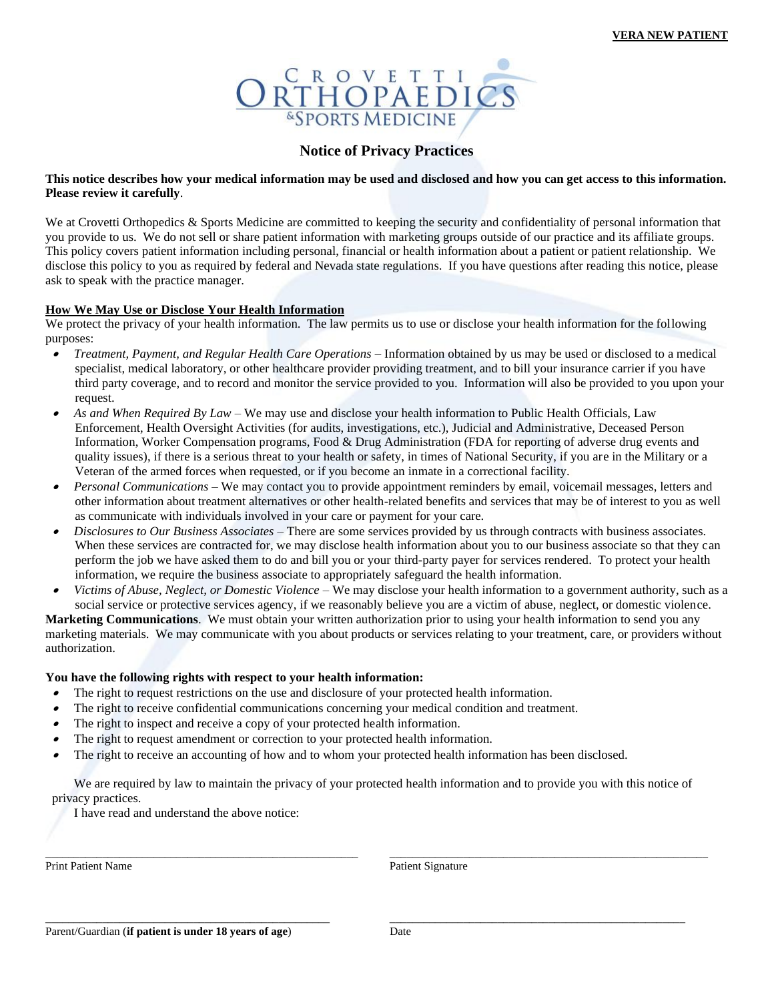

#### **Notice of Privacy Practices**

#### **This notice describes how your medical information may be used and disclosed and how you can get access to this information. Please review it carefully**.

We at Crovetti Orthopedics & Sports Medicine are committed to keeping the security and confidentiality of personal information that you provide to us. We do not sell or share patient information with marketing groups outside of our practice and its affiliate groups. This policy covers patient information including personal, financial or health information about a patient or patient relationship. We disclose this policy to you as required by federal and Nevada state regulations. If you have questions after reading this notice, please ask to speak with the practice manager.

#### **How We May Use or Disclose Your Health Information**

We protect the privacy of your health information. The law permits us to use or disclose your health information for the following purposes:

- • *Treatment, Payment, and Regular Health Care Operations* – Information obtained by us may be used or disclosed to a medical specialist, medical laboratory, or other healthcare provider providing treatment, and to bill your insurance carrier if you have third party coverage, and to record and monitor the service provided to you. Information will also be provided to you upon your request.
- • *As and When Required By Law* – We may use and disclose your health information to Public Health Officials, Law Enforcement, Health Oversight Activities (for audits, investigations, etc.), Judicial and Administrative, Deceased Person Information, Worker Compensation programs, Food & Drug Administration (FDA for reporting of adverse drug events and quality issues), if there is a serious threat to your health or safety, in times of National Security, if you are in the Military or a Veteran of the armed forces when requested, or if you become an inmate in a correctional facility.
- • *Personal Communications* – We may contact you to provide appointment reminders by email, voicemail messages, letters and other information about treatment alternatives or other health-related benefits and services that may be of interest to you as well as communicate with individuals involved in your care or payment for your care.
- • *Disclosures to Our Business Associates* – There are some services provided by us through contracts with business associates. When these services are contracted for, we may disclose health information about you to our business associate so that they can perform the job we have asked them to do and bill you or your third-party payer for services rendered. To protect your health information, we require the business associate to appropriately safeguard the health information.
- • *Victims of Abuse, Neglect, or Domestic Violence* – We may disclose your health information to a government authority, such as a social service or protective services agency, if we reasonably believe you are a victim of abuse, neglect, or domestic violence.

**Marketing Communications**. We must obtain your written authorization prior to using your health information to send you any marketing materials. We may communicate with you about products or services relating to your treatment, care, or providers without authorization.

#### **You have the following rights with respect to your health information:**

- •The right to request restrictions on the use and disclosure of your protected health information.
- •The right to receive confidential communications concerning your medical condition and treatment.
- •The right to inspect and receive a copy of your protected health information.
- •The right to request amendment or correction to your protected health information.
- •The right to receive an accounting of how and to whom your protected health information has been disclosed.

We are required by law to maintain the privacy of your protected health information and to provide you with this notice of privacy practices.

\_\_\_\_\_\_\_\_\_\_\_\_\_\_\_\_\_\_\_\_\_\_\_\_\_\_\_\_\_\_\_\_\_\_\_\_\_\_\_\_\_\_\_\_\_\_\_\_\_\_\_\_\_\_\_ \_\_\_\_\_\_\_\_\_\_\_\_\_\_\_\_\_\_\_\_\_\_\_\_\_\_\_\_\_\_\_\_\_\_\_\_\_\_\_\_\_\_\_\_\_\_\_\_\_\_\_\_\_\_\_\_

\_\_\_\_\_\_\_\_\_\_\_\_\_\_\_\_\_\_\_\_\_\_\_\_\_\_\_\_\_\_\_\_\_\_\_\_\_\_\_\_\_\_\_\_\_\_\_\_\_\_ \_\_\_\_\_\_\_\_\_\_\_\_\_\_\_\_\_\_\_\_\_\_\_\_\_\_\_\_\_\_\_\_\_\_\_\_\_\_\_\_\_\_\_\_\_\_\_\_\_\_\_\_

I have read and understand the above notice:

Print Patient Name **Patient Signature** Patient Signature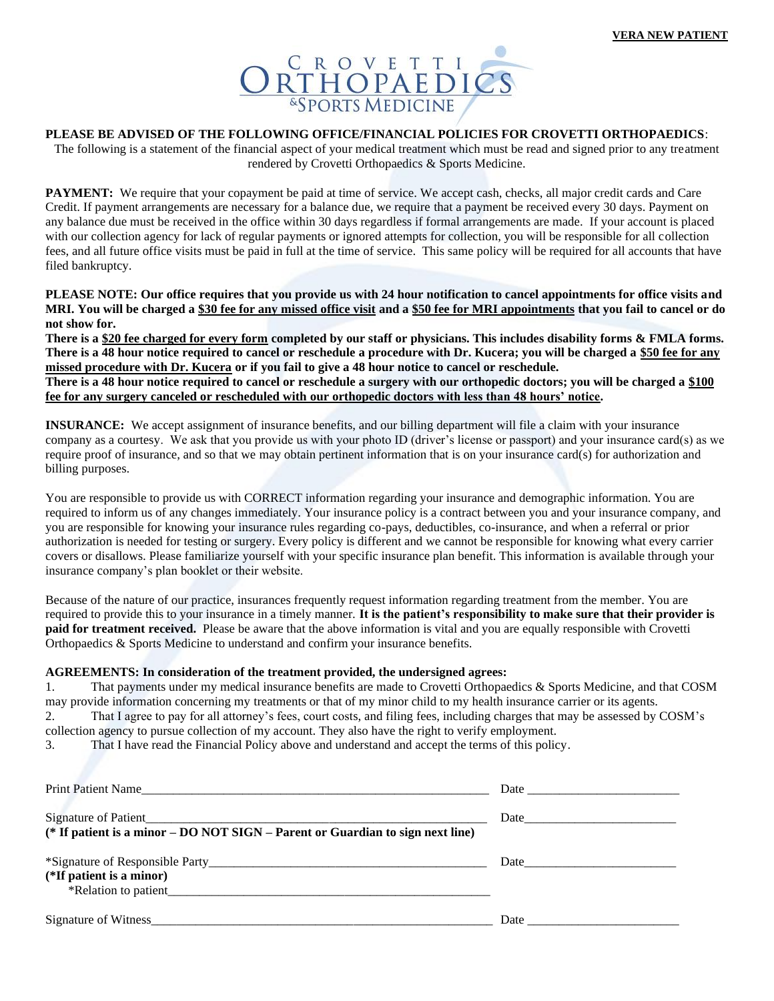

#### **PLEASE BE ADVISED OF THE FOLLOWING OFFICE/FINANCIAL POLICIES FOR CROVETTI ORTHOPAEDICS**:

The following is a statement of the financial aspect of your medical treatment which must be read and signed prior to any treatment rendered by Crovetti Orthopaedics & Sports Medicine.

**PAYMENT:** We require that your copayment be paid at time of service. We accept cash, checks, all major credit cards and Care Credit. If payment arrangements are necessary for a balance due, we require that a payment be received every 30 days. Payment on any balance due must be received in the office within 30 days regardless if formal arrangements are made. If your account is placed with our collection agency for lack of regular payments or ignored attempts for collection, you will be responsible for all collection fees, and all future office visits must be paid in full at the time of service. This same policy will be required for all accounts that have filed bankruptcy.

**PLEASE NOTE: Our office requires that you provide us with 24 hour notification to cancel appointments for office visits and MRI. You will be charged a \$30 fee for any missed office visit and a \$50 fee for MRI appointments that you fail to cancel or do not show for.**

**There is a \$20 fee charged for every form completed by our staff or physicians. This includes disability forms & FMLA forms. There is a 48 hour notice required to cancel or reschedule a procedure with Dr. Kucera; you will be charged a \$50 fee for any missed procedure with Dr. Kucera or if you fail to give a 48 hour notice to cancel or reschedule. There is a 48 hour notice required to cancel or reschedule a surgery with our orthopedic doctors; you will be charged a \$100 fee for any surgery canceled or rescheduled with our orthopedic doctors with less than 48 hours' notice.**

**INSURANCE:** We accept assignment of insurance benefits, and our billing department will file a claim with your insurance company as a courtesy. We ask that you provide us with your photo ID (driver's license or passport) and your insurance card(s) as we require proof of insurance, and so that we may obtain pertinent information that is on your insurance card(s) for authorization and billing purposes.

You are responsible to provide us with CORRECT information regarding your insurance and demographic information. You are required to inform us of any changes immediately. Your insurance policy is a contract between you and your insurance company, and you are responsible for knowing your insurance rules regarding co-pays, deductibles, co-insurance, and when a referral or prior authorization is needed for testing or surgery. Every policy is different and we cannot be responsible for knowing what every carrier covers or disallows. Please familiarize yourself with your specific insurance plan benefit. This information is available through your insurance company's plan booklet or their website.

Because of the nature of our practice, insurances frequently request information regarding treatment from the member. You are required to provide this to your insurance in a timely manner. **It is the patient's responsibility to make sure that their provider is paid for treatment received.** Please be aware that the above information is vital and you are equally responsible with Crovetti Orthopaedics & Sports Medicine to understand and confirm your insurance benefits.

#### **AGREEMENTS: In consideration of the treatment provided, the undersigned agrees:**

1. That payments under my medical insurance benefits are made to Crovetti Orthopaedics & Sports Medicine, and that COSM may provide information concerning my treatments or that of my minor child to my health insurance carrier or its agents. 2. That I agree to pay for all attorney's fees, court costs, and filing fees, including charges that may be assessed by COSM's collection agency to pursue collection of my account. They also have the right to verify employment.

3. That I have read the Financial Policy above and understand and accept the terms of this policy.

| Print Patient Name                                                                                     | Date                                                                                                                                                                                                                           |
|--------------------------------------------------------------------------------------------------------|--------------------------------------------------------------------------------------------------------------------------------------------------------------------------------------------------------------------------------|
| Signature of Patient<br>(* If patient is a minor – DO NOT SIGN – Parent or Guardian to sign next line) |                                                                                                                                                                                                                                |
| (*If patient is a minor)<br>*Relation to patient                                                       |                                                                                                                                                                                                                                |
|                                                                                                        | Date and the contract of the contract of the contract of the contract of the contract of the contract of the contract of the contract of the contract of the contract of the contract of the contract of the contract of the c |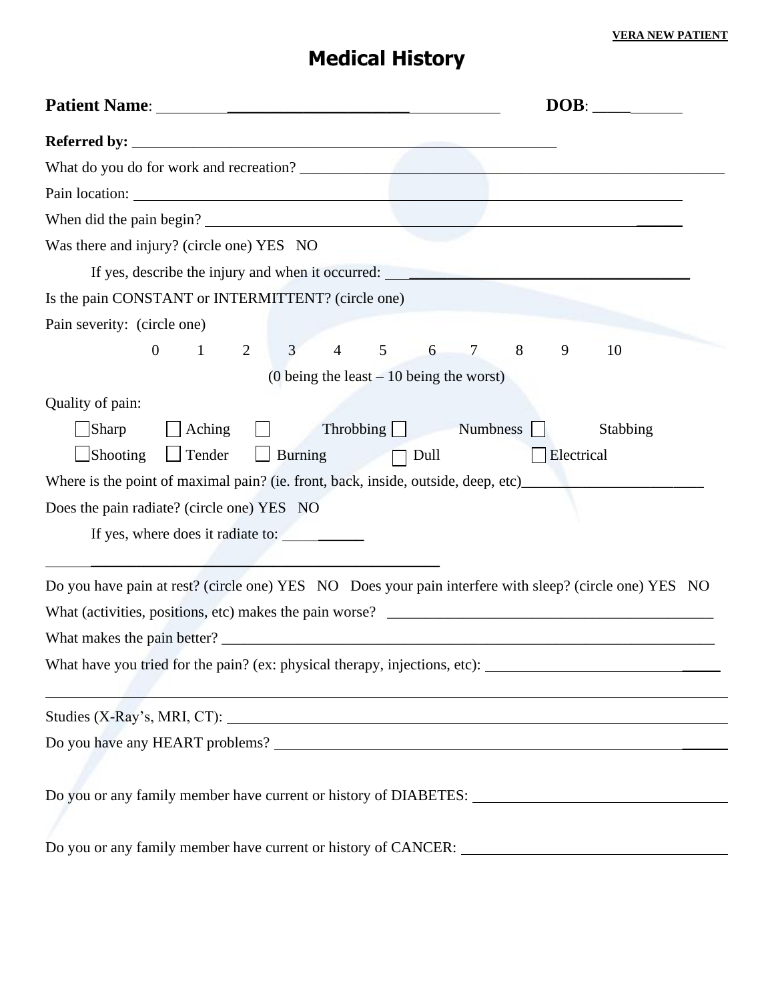# **Medical History**

| DOB:                                                                                                                                                           |
|----------------------------------------------------------------------------------------------------------------------------------------------------------------|
|                                                                                                                                                                |
|                                                                                                                                                                |
|                                                                                                                                                                |
| When did the pain begin?                                                                                                                                       |
| Was there and injury? (circle one) YES NO                                                                                                                      |
| If yes, describe the injury and when it occurred:                                                                                                              |
| Is the pain CONSTANT or INTERMITTENT? (circle one)                                                                                                             |
| Pain severity: (circle one)                                                                                                                                    |
| $3 \t 4$<br>2<br>$5\overline{)}$<br>$\overline{0}$<br>$\mathbf{1}$<br>8<br>9<br>6<br>$\overline{7}$<br>10                                                      |
| (0 being the least $-10$ being the worst)                                                                                                                      |
| Quality of pain:                                                                                                                                               |
| Sharp<br>Throbbing Numbness<br>$\vert$ Aching<br>Stabbing<br>$\mathsf{L}$<br>$\Box$ Shooting<br>$\Box$ Tender<br><b>Burning</b><br>$\Box$ Dull<br>  Electrical |
| Where is the point of maximal pain? (ie. front, back, inside, outside, deep, etc)                                                                              |
| Does the pain radiate? (circle one) YES NO                                                                                                                     |
|                                                                                                                                                                |
|                                                                                                                                                                |
| Do you have pain at rest? (circle one) YES NO Does your pain interfere with sleep? (circle one) YES NO                                                         |
|                                                                                                                                                                |
|                                                                                                                                                                |
| What have you tried for the pain? (ex: physical therapy, injections, etc): ___________________________________                                                 |
|                                                                                                                                                                |
|                                                                                                                                                                |
|                                                                                                                                                                |
|                                                                                                                                                                |
|                                                                                                                                                                |
|                                                                                                                                                                |
|                                                                                                                                                                |